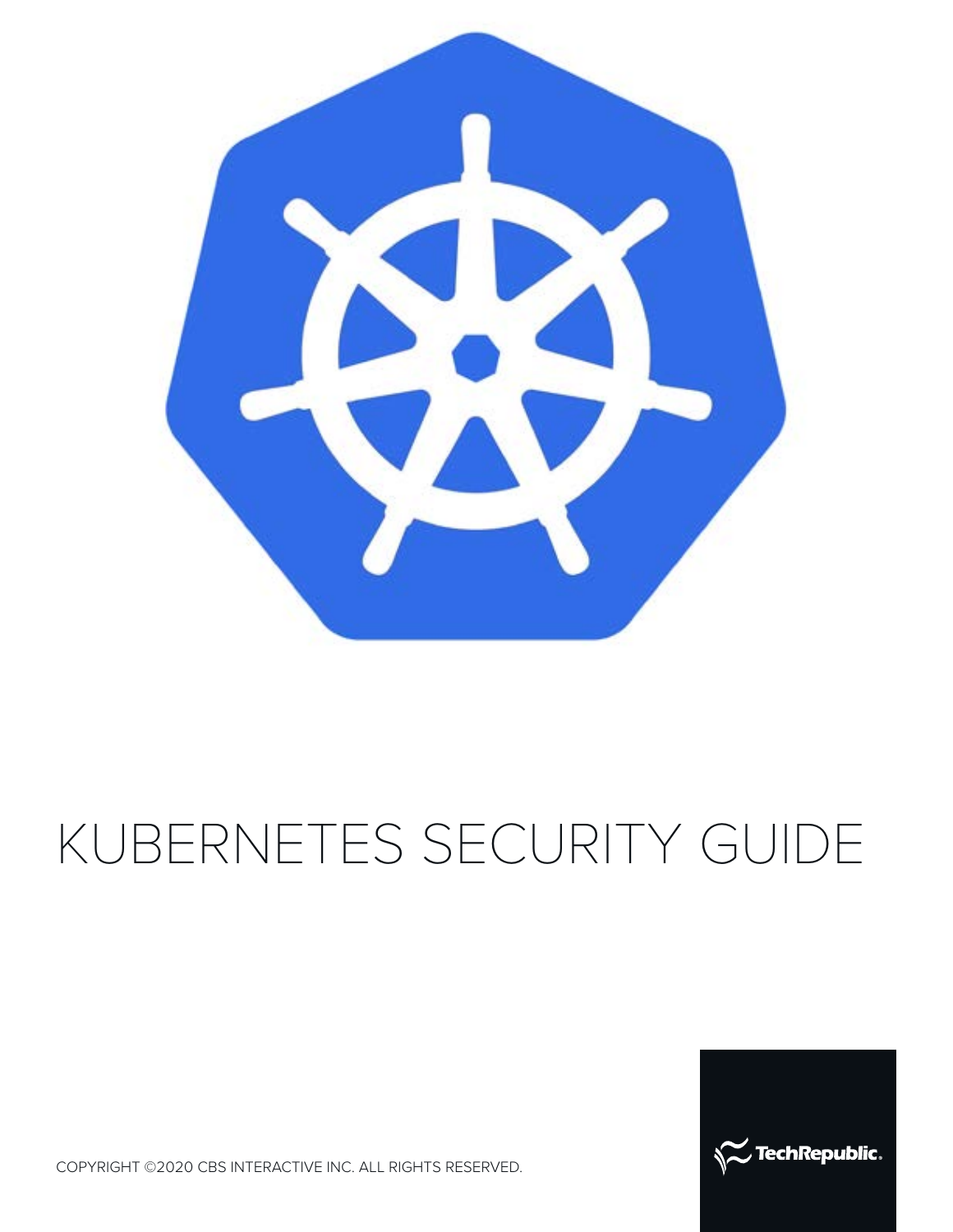

# KUBERNETES SECURITY GUIDE



COPYRIGHT ©2020 CBS INTERACTIVE INC. ALL RIGHTS RESERVED.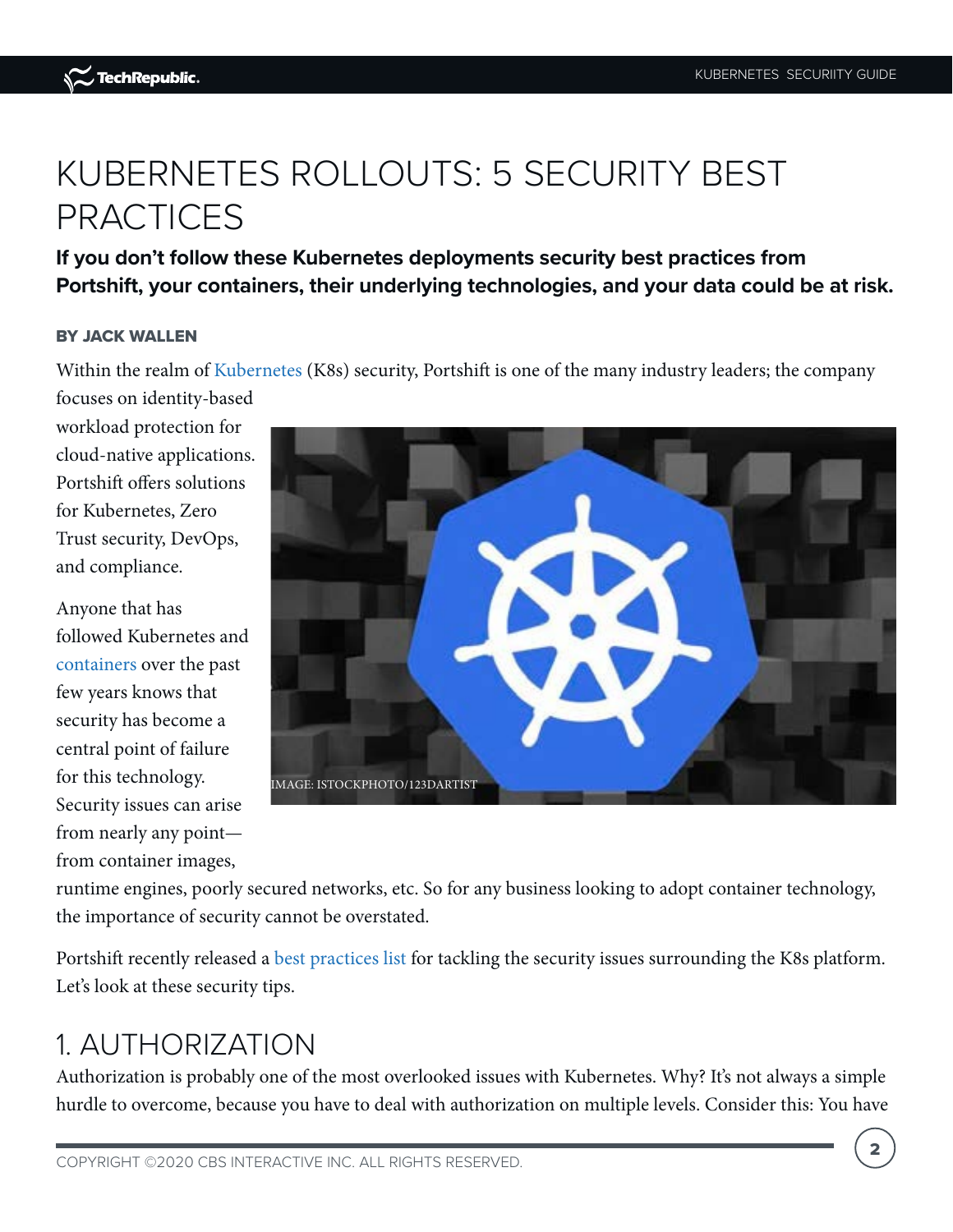# KUBERNETES ROLLOUTS: 5 SECURITY BEST PRACTICES

**If you don't follow these Kubernetes deployments security best practices from Portshift, your containers, their underlying technologies, and your data could be at risk.**

#### BY JACK WALLEN

Within the realm of [Kubernetes](https://www.techrepublic.com/article/kubernetes-the-smart-persons-guide/) (K8s) security, Portshift is one of the many industry leaders; the company focuses on identity-based

workload protection for cloud-native applications. Portshift offers solutions for Kubernetes, Zero Trust security, DevOps, and compliance.

Anyone that has followed Kubernetes and [containers o](https://www.techrepublic.com/article/containers-the-smart-persons-guide/)ver the past few years knows that security has become a central point of failure for this technology. Security issues can arise from nearly any point from container images,



runtime engines, poorly secured networks, etc. So for any business looking to adopt container technology, the importance of security cannot be overstated.

Portshift recently released [a best practices list](https://www.portshift.io/news/portshift-best-practices-kubernetes/) for tackling the security issues surrounding the K8s platform. Let's look at these security tips.

### 1. AUTHORIZATION

Authorization is probably one of the most overlooked issues with Kubernetes. Why? It's not always a simple hurdle to overcome, because you have to deal with authorization on multiple levels. Consider this: You have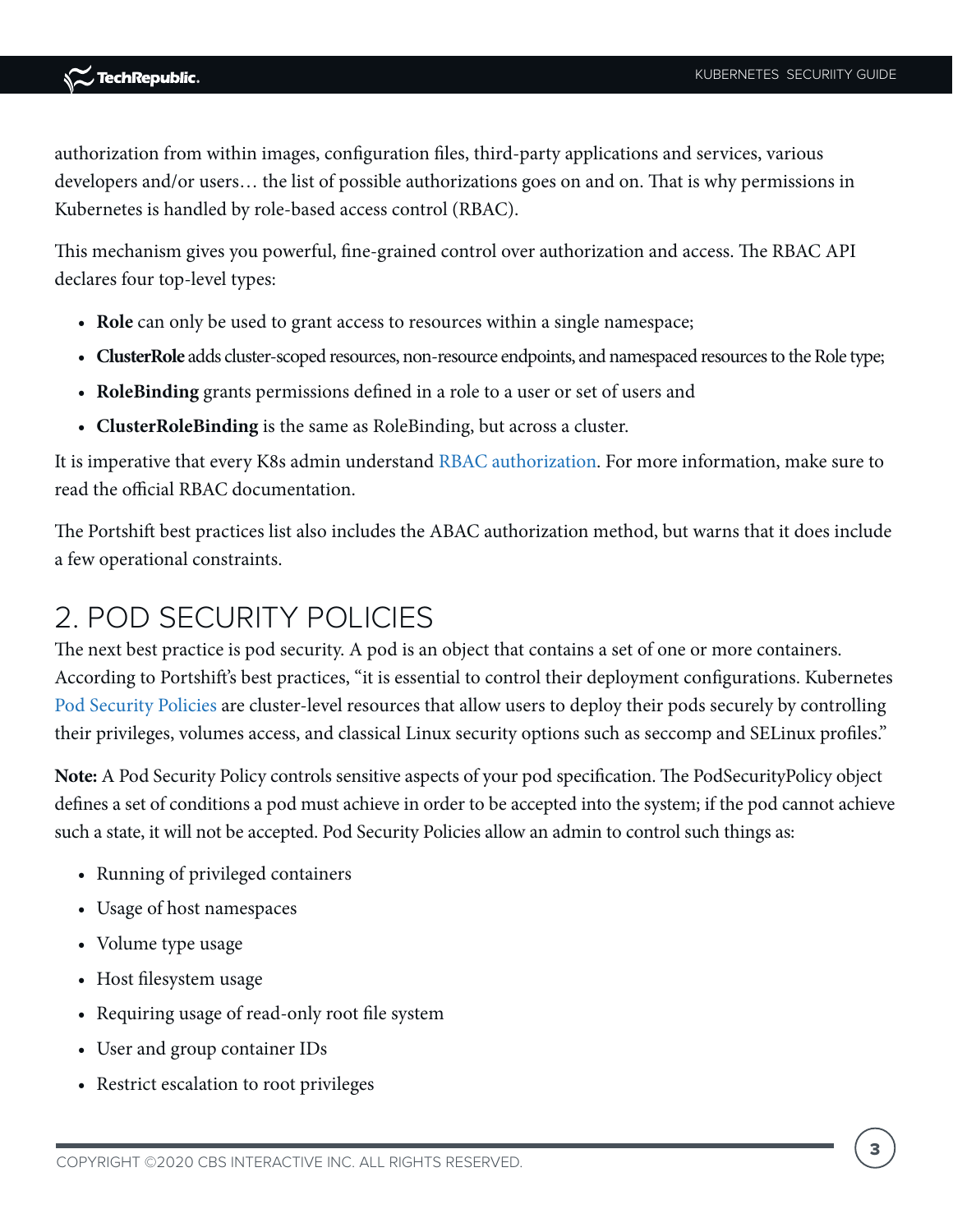authorization from within images, configuration files, third-party applications and services, various developers and/or users… the list of possible authorizations goes on and on. That is why permissions in Kubernetes is handled by role-based access control (RBAC).

This mechanism gives you powerful, fine-grained control over authorization and access. The RBAC API declares four top-level types:

- **Role** can only be used to grant access to resources within a single namespace;
- **ClusterRole** adds cluster-scoped resources, non-resource endpoints, and namespaced resources to the Role type;
- **RoleBinding** grants permissions defined in a role to a user or set of users and
- **ClusterRoleBinding** is the same as RoleBinding, but across a cluster.

It is imperative that every K8s admin understand [RBAC authorization](https://kubernetes.io/docs/reference/access-authn-authz/rbac/). For more information, make sure to read the official RBAC documentation.

The Portshift best practices list also includes the ABAC authorization method, but warns that it does include a few operational constraints.

### 2. POD SECURITY POLICIES

The next best practice is pod security. A pod is an object that contains a set of one or more containers. According to Portshift's best practices, "it is essential to control their deployment configurations. Kubernetes [Pod Security Policies](https://kubernetes.io/docs/concepts/policy/pod-security-policy/) are cluster-level resources that allow users to deploy their pods securely by controlling their privileges, volumes access, and classical Linux security options such as seccomp and SELinux profiles."

**Note:** A Pod Security Policy controls sensitive aspects of your pod specification. The PodSecurityPolicy object defines a set of conditions a pod must achieve in order to be accepted into the system; if the pod cannot achieve such a state, it will not be accepted. Pod Security Policies allow an admin to control such things as:

- Running of privileged containers
- Usage of host namespaces
- Volume type usage
- Host filesystem usage
- Requiring usage of read-only root file system
- User and group container IDs
- Restrict escalation to root privileges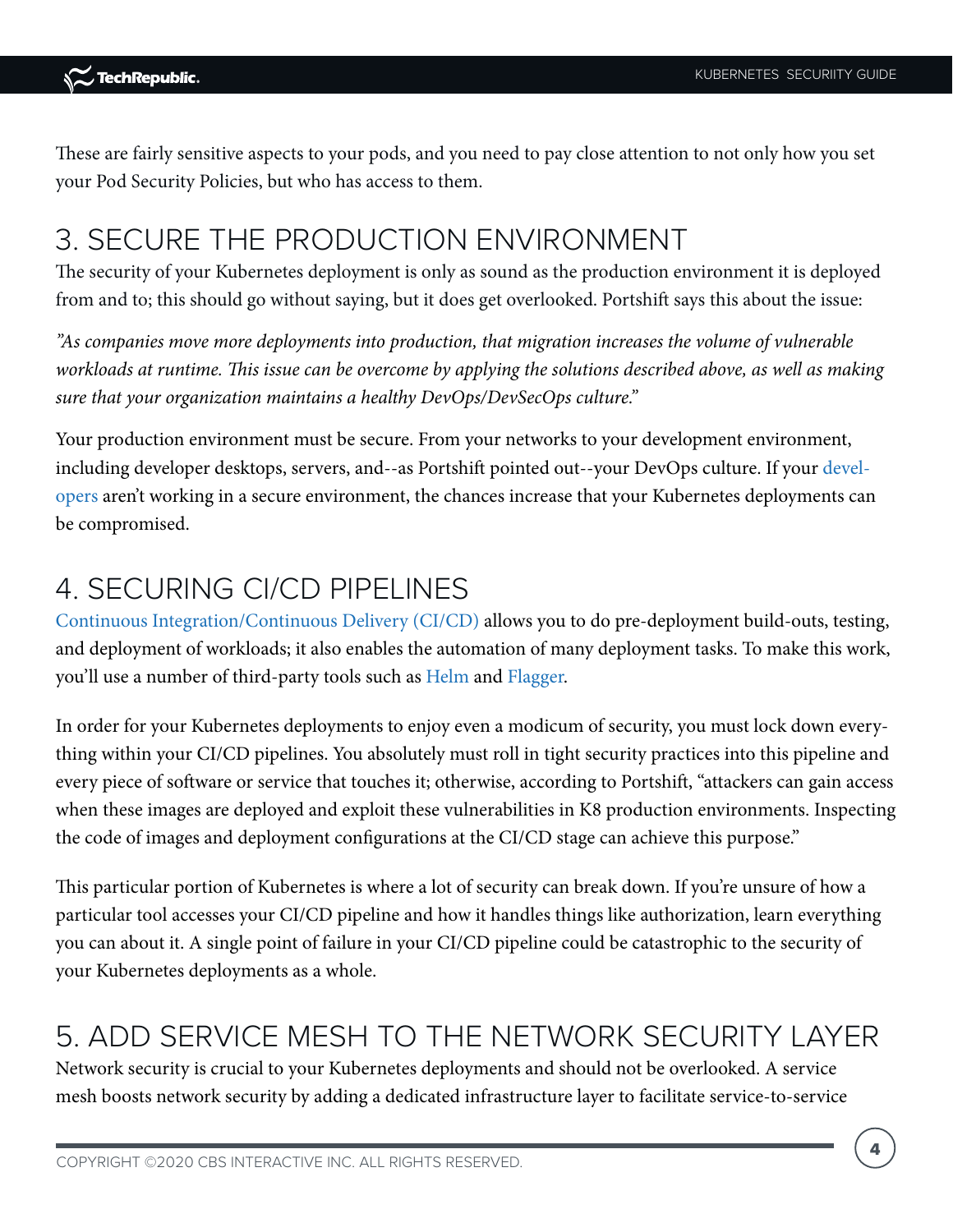These are fairly sensitive aspects to your pods, and you need to pay close attention to not only how you set your Pod Security Policies, but who has access to them.

### 3. SECURE THE PRODUCTION ENVIRONMENT

The security of your Kubernetes deployment is only as sound as the production environment it is deployed from and to; this should go without saying, but it does get overlooked. Portshift says this about the issue:

*"As companies move more deployments into production, that migration increases the volume of vulnerable workloads at runtime. This issue can be overcome by applying the solutions described above, as well as making sure that your organization maintains a healthy DevOps/DevSecOps culture."*

Your production environment must be secure. From your networks to your development environment, including developer desktops, servers, and--as Portshift pointed out--your DevOps culture. If your [devel](https://www.techrepublic.com/article/how-to-become-a-developer-a-cheat-sheet/)[opers](https://www.techrepublic.com/article/how-to-become-a-developer-a-cheat-sheet/) aren't working in a secure environment, the chances increase that your Kubernetes deployments can be compromised.

### 4. SECURING CI/CD PIPELINES

[Continuous Integration/Continuous Delivery \(CI/CD\)](https://www.techrepublic.com/article/what-is-cicd/) allows you to do pre-deployment build-outs, testing, and deployment of workloads; it also enables the automation of many deployment tasks. To make this work, you'll use a number of third-party tools such as [Helm](https://helm.sh/) and [Flagger](https://flagger.app/).

In order for your Kubernetes deployments to enjoy even a modicum of security, you must lock down everything within your CI/CD pipelines. You absolutely must roll in tight security practices into this pipeline and every piece of software or service that touches it; otherwise, according to Portshift, "attackers can gain access when these images are deployed and exploit these vulnerabilities in K8 production environments. Inspecting the code of images and deployment configurations at the CI/CD stage can achieve this purpose."

This particular portion of Kubernetes is where a lot of security can break down. If you're unsure of how a particular tool accesses your CI/CD pipeline and how it handles things like authorization, learn everything you can about it. A single point of failure in your CI/CD pipeline could be catastrophic to the security of your Kubernetes deployments as a whole.

### 5. ADD SERVICE MESH TO THE NETWORK SECURITY LAYER

Network security is crucial to your Kubernetes deployments and should not be overlooked. A service mesh boosts network security by adding a dedicated infrastructure layer to facilitate service-to-service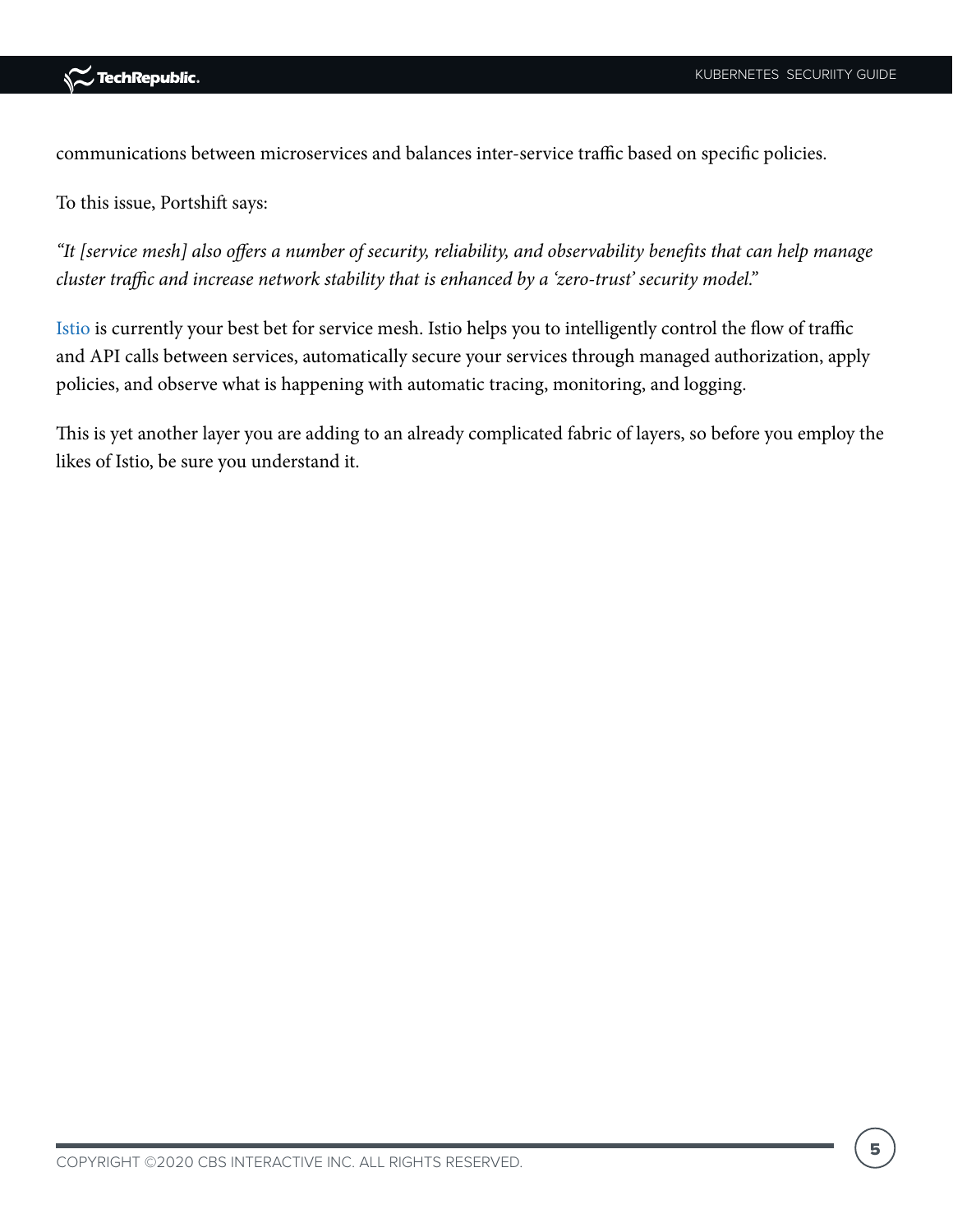



communications between microservices and balances inter-service traffic based on specific policies.

To this issue, Portshift says:

*"It [service mesh] also offers a number of security, reliability, and observability benefits that can help manage cluster traffic and increase network stability that is enhanced by a 'zero-trust' security model."*

[Istio i](https://istio.io/)s currently your best bet for service mesh. Istio helps you to intelligently control the flow of traffic and API calls between services, automatically secure your services through managed authorization, apply policies, and observe what is happening with automatic tracing, monitoring, and logging.

This is yet another layer you are adding to an already complicated fabric of layers, so before you employ the likes of Istio, be sure you understand it.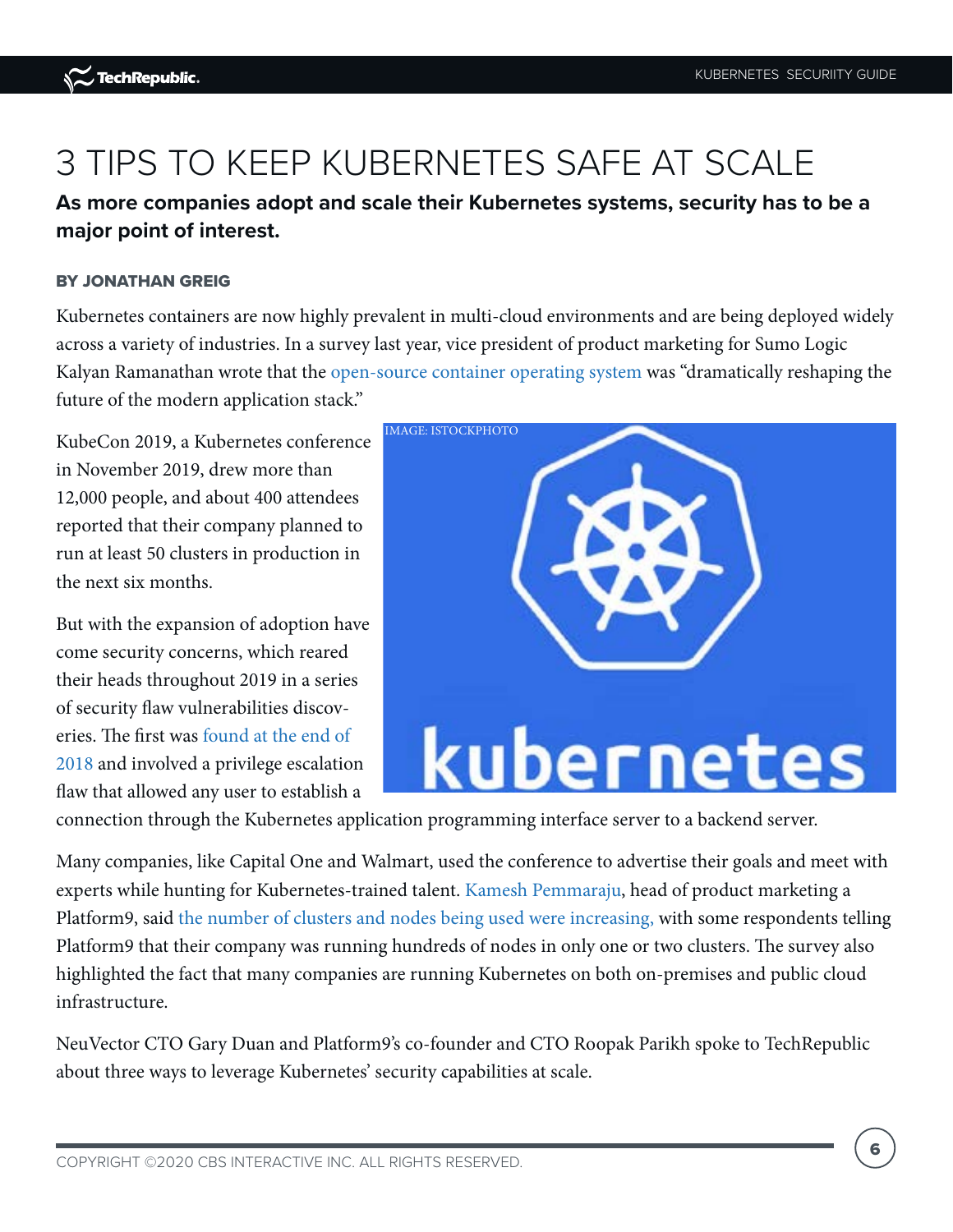# 3 TIPS TO KEEP KUBERNETES SAFE AT SCALE

**As more companies adopt and scale their Kubernetes systems, security has to be a major point of interest.**

#### BY JONATHAN GREIG

Kubernetes containers are now highly prevalent in multi-cloud environments and are being deployed widely across a variety of industries. In a survey last year, vice president of product marketing for Sumo Logic Kalyan Ramanathan wrote that the [open-source container operating system](https://www.techrepublic.com/article/multicloud-is-the-fastest-growing-modern-infrastructure/) was "dramatically reshaping the future of the modern application stack."

KubeCon 2019, a Kubernetes conference in November 2019, drew more than 12,000 people, and about 400 attendees reported that their company planned to run at least 50 clusters in production in the next six months.

But with the expansion of adoption have come security concerns, which reared their heads throughout 2019 in a series of security flaw vulnerabilities discoveries. The first was [found at the end of](https://www.zdnet.com/article/kubernetes-first-major-security-hole-discovered/)  [2018](https://www.zdnet.com/article/kubernetes-first-major-security-hole-discovered/) and involved a privilege escalation flaw that allowed any user to establish a



connection through the Kubernetes application programming interface server to a backend server.

Many companies, like Capital One and Walmart, used the conference to advertise their goals and meet with experts while hunting for Kubernetes-trained talent. [Kamesh Pemmaraju](https://platform9.com/blog/author/kamesh/), head of product marketing a Platform9, said [the number of clusters and nodes being used were increasing,](https://www.techrepublic.com/article/kubecon-highlights-huge-growth-in-the-adoption-of-kubernetes/) with some respondents telling Platform9 that their company was running hundreds of nodes in only one or two clusters. The survey also highlighted the fact that many companies are running Kubernetes on both on-premises and public cloud infrastructure.

NeuVector CTO Gary Duan and Platform9's co-founder and CTO Roopak Parikh spoke to TechRepublic about three ways to leverage Kubernetes' security capabilities at scale.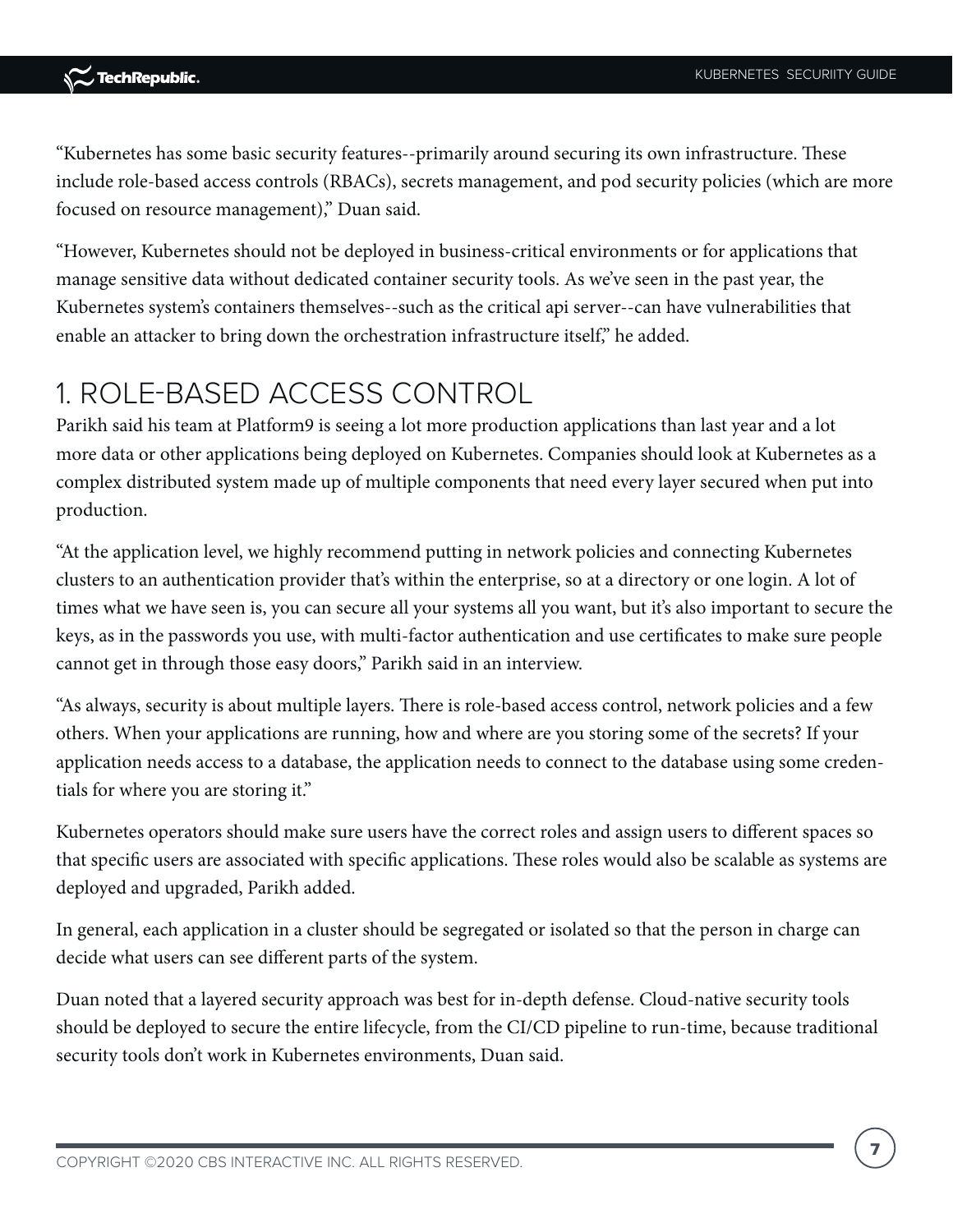"Kubernetes has some basic security features--primarily around securing its own infrastructure. These include role-based access controls (RBACs), secrets management, and pod security policies (which are more focused on resource management)," Duan said.

"However, Kubernetes should not be deployed in business-critical environments or for applications that manage sensitive data without dedicated container security tools. As we've seen in the past year, the Kubernetes system's containers themselves--such as the critical api server--can have vulnerabilities that enable an attacker to bring down the orchestration infrastructure itself," he added.

### 1. ROLE-BASED ACCESS CONTROL

Parikh said his team at Platform9 is seeing a lot more production applications than last year and a lot more data or other applications being deployed on Kubernetes. Companies should look at Kubernetes as a complex distributed system made up of multiple components that need every layer secured when put into production.

"At the application level, we highly recommend putting in network policies and connecting Kubernetes clusters to an authentication provider that's within the enterprise, so at a directory or one login. A lot of times what we have seen is, you can secure all your systems all you want, but it's also important to secure the keys, as in the passwords you use, with multi-factor authentication and use certificates to make sure people cannot get in through those easy doors," Parikh said in an interview.

"As always, security is about multiple layers. There is role-based access control, network policies and a few others. When your applications are running, how and where are you storing some of the secrets? If your application needs access to a database, the application needs to connect to the database using some credentials for where you are storing it."

Kubernetes operators should make sure users have the correct roles and assign users to different spaces so that specific users are associated with specific applications. These roles would also be scalable as systems are deployed and upgraded, Parikh added.

In general, each application in a cluster should be segregated or isolated so that the person in charge can decide what users can see different parts of the system.

Duan noted that a layered security approach was best for in-depth defense. Cloud-native security tools should be deployed to secure the entire lifecycle, from the CI/CD pipeline to run-time, because traditional security tools don't work in Kubernetes environments, Duan said.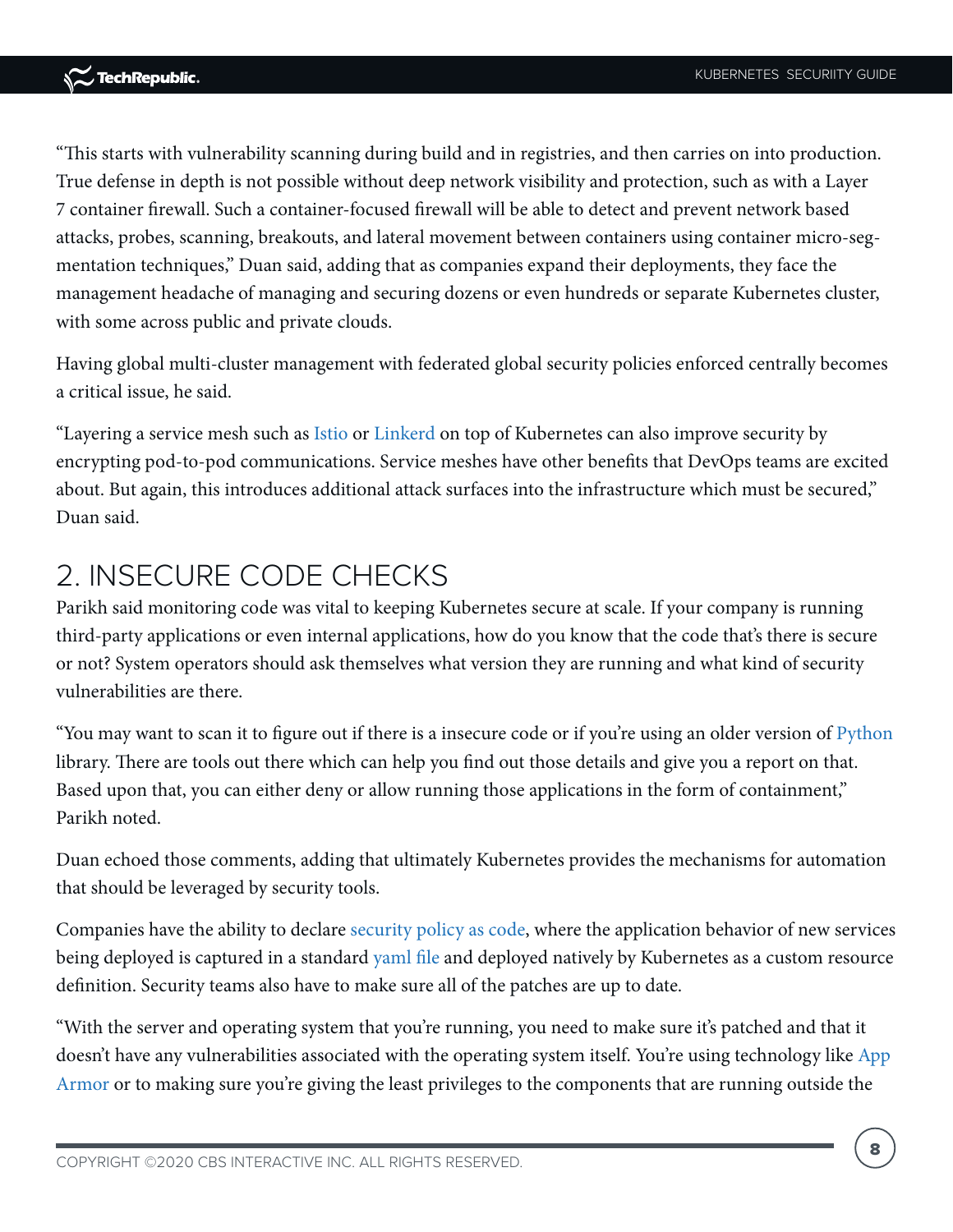"This starts with vulnerability scanning during build and in registries, and then carries on into production. True defense in depth is not possible without deep network visibility and protection, such as with a Layer 7 container firewall. Such a container-focused firewall will be able to detect and prevent network based attacks, probes, scanning, breakouts, and lateral movement between containers using container micro-segmentation techniques," Duan said, adding that as companies expand their deployments, they face the management headache of managing and securing dozens or even hundreds or separate Kubernetes cluster, with some across public and private clouds.

Having global multi-cluster management with federated global security policies enforced centrally becomes a critical issue, he said.

"Layering a service mesh such as [Istio o](https://istio.io/)r [Linkerd o](https://linkerd.io/)n top of Kubernetes can also improve security by encrypting pod-to-pod communications. Service meshes have other benefits that DevOps teams are excited about. But again, this introduces additional attack surfaces into the infrastructure which must be secured," Duan said.

### 2. INSECURE CODE CHECKS

Parikh said monitoring code was vital to keeping Kubernetes secure at scale. If your company is running third-party applications or even internal applications, how do you know that the code that's there is secure or not? System operators should ask themselves what version they are running and what kind of security vulnerabilities are there.

"You may want to scan it to figure out if there is a insecure code or if you're using an older version of [Python](https://www.techrepublic.com/article/python-where-to-learn-it-and-why-you-should-do-it-now/) library. There are tools out there which can help you find out those details and give you a report on that. Based upon that, you can either deny or allow running those applications in the form of containment," Parikh noted.

Duan echoed those comments, adding that ultimately Kubernetes provides the mechanisms for automation that should be leveraged by security tools.

Companies have the ability to declare [security policy as code,](https://neuvector.com/cloud-security/kubernetes-policy-as-code-crd/) where the application behavior of new services being deployed is captured in a standar[d yaml file](https://www.techrepublic.com/article/what-is-the-difference-between-dockerfile-and-docker-compose-yml-files/) and deployed natively by Kubernetes as a custom resource definition. Security teams also have to make sure all of the patches are up to date.

"With the server and operating system that you're running, you need to make sure it's patched and that it doesn't have any vulnerabilities associated with the operating system itself. You're using technology like App [Armor](https://www.apparmor.com/) or to making sure you're giving the least privileges to the components that are running outside the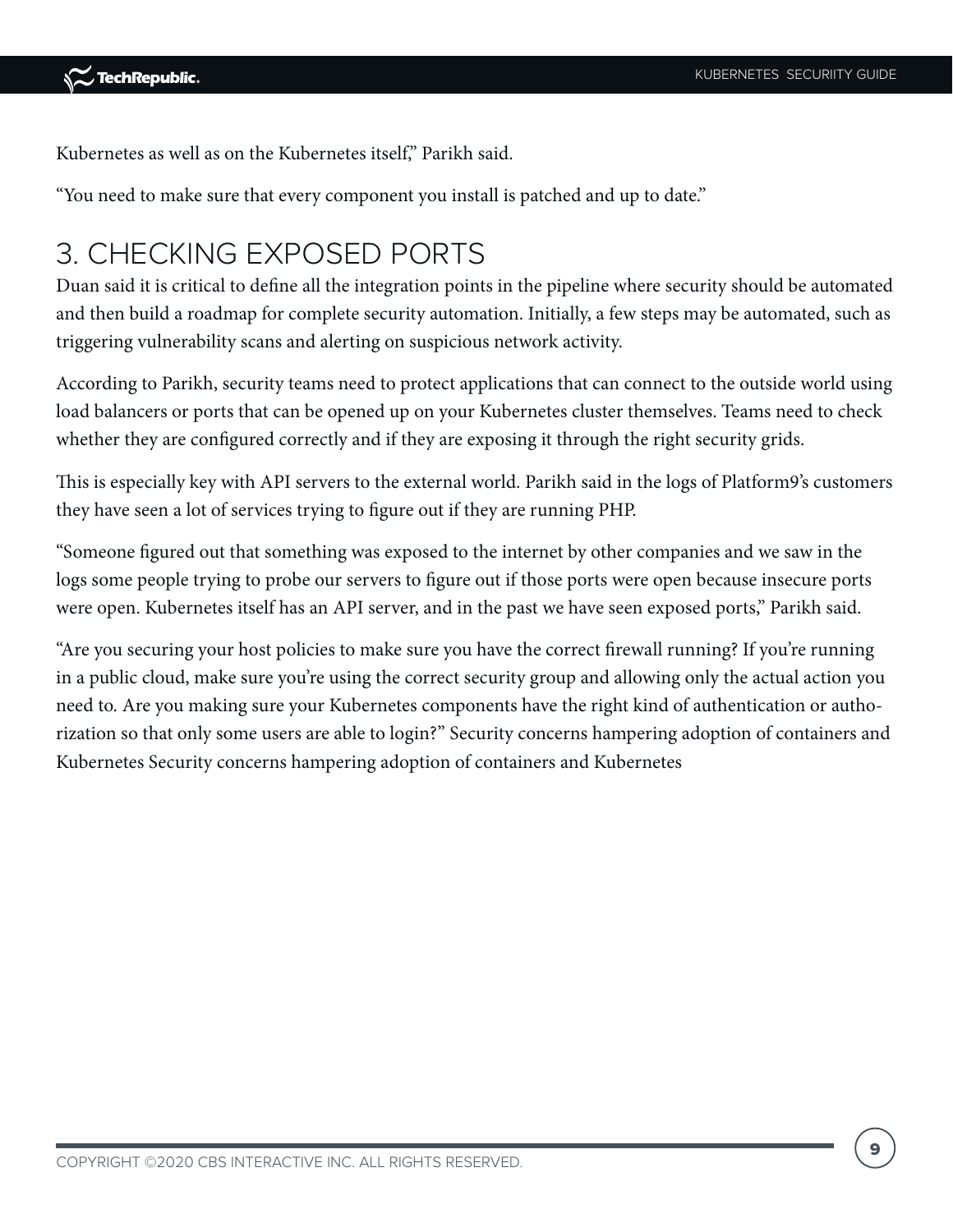Kubernetes as well as on the Kubernetes itself," Parikh said.

"You need to make sure that every component you install is patched and up to date."

### 3. CHECKING EXPOSED PORTS

Duan said it is critical to define all the integration points in the pipeline where security should be automated and then build a roadmap for complete security automation. Initially, a few steps may be automated, such as triggering vulnerability scans and alerting on suspicious network activity.

According to Parikh, security teams need to protect applications that can connect to the outside world using load balancers or ports that can be opened up on your Kubernetes cluster themselves. Teams need to check whether they are configured correctly and if they are exposing it through the right security grids.

This is especially key with API servers to the external world. Parikh said in the logs of Platform9's customers they have seen a lot of services trying to figure out if they are running PHP.

"Someone figured out that something was exposed to the internet by other companies and we saw in the logs some people trying to probe our servers to figure out if those ports were open because insecure ports were open. Kubernetes itself has an API server, and in the past we have seen exposed ports," Parikh said.

"Are you securing your host policies to make sure you have the correct firewall running? If you're running in a public cloud, make sure you're using the correct security group and allowing only the actual action you need to. Are you making sure your Kubernetes components have the right kind of authentication or authorization so that only some users are able to login?" Security concerns hampering adoption of containers and Kubernetes Security concerns hampering adoption of containers and Kubernetes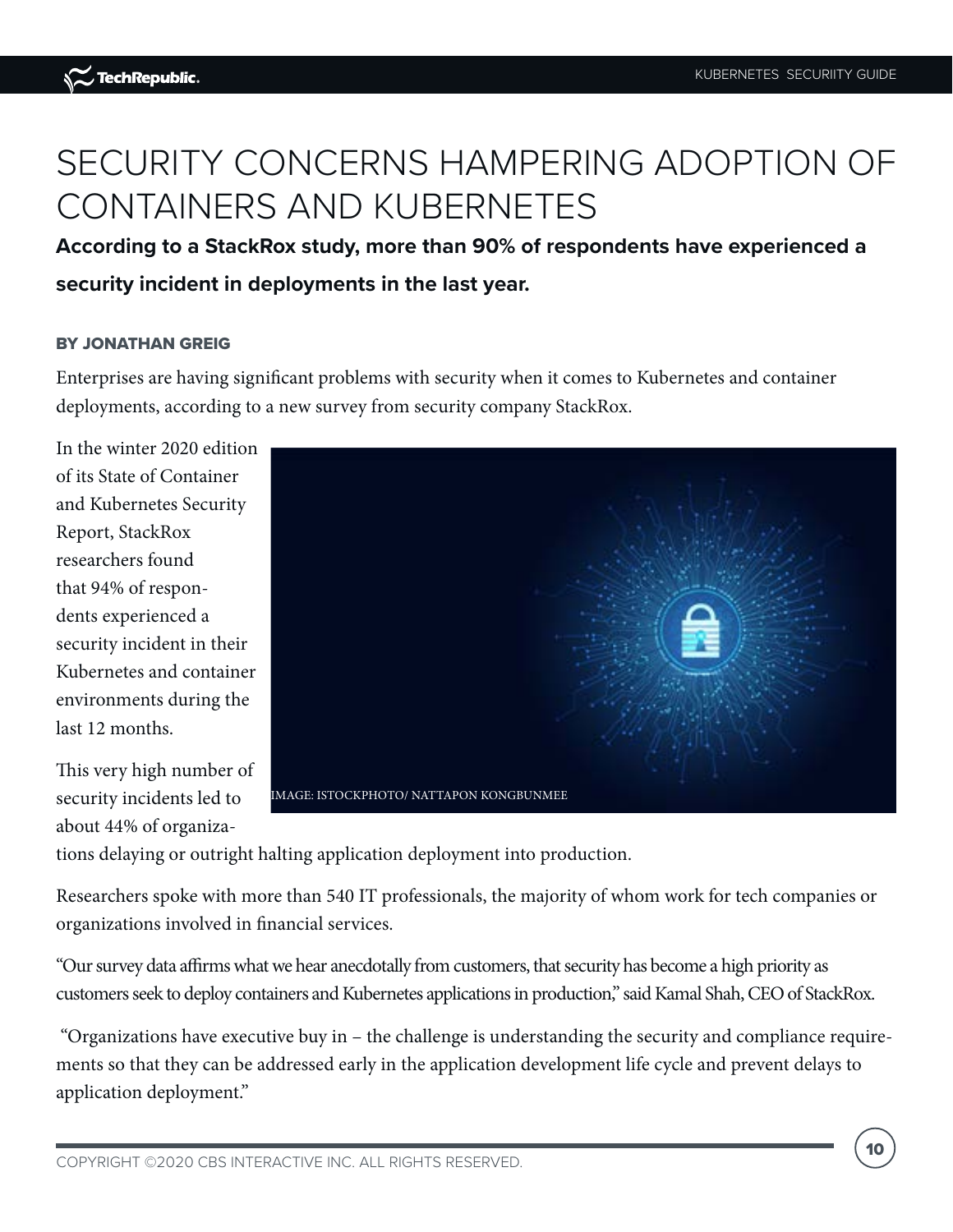# SECURITY CONCERNS HAMPERING ADOPTION OF CONTAINERS AND KUBERNETES

**According to a StackRox study, more than 90% of respondents have experienced a security incident in deployments in the last year.**

#### BY JONATHAN GREIG

Enterprises are having significant problems with security when it comes to Kubernetes and container deployments, according to a new survey from security company StackRox.

In the winter 2020 edition of its State of Container and Kubernetes Security Report, StackRox researchers found that 94% of respondents experienced a security incident in their Kubernetes and container environments during the last 12 months.

This very high number of security incidents led to about 44% of organiza-



tions delaying or outright halting application deployment into production.

Researchers spoke with more than 540 IT professionals, the majority of whom work for tech companies or organizations involved in financial services.

"Our survey data affirms what we hear anecdotally from customers, that security has become a high priority as customers seek to deploy containers and Kubernetes applications in production," said Kamal Shah, CEO of StackRox.

 "Organizations have executive buy in – the challenge is understanding the security and compliance requirements so that they can be addressed early in the application development life cycle and prevent delays to application deployment."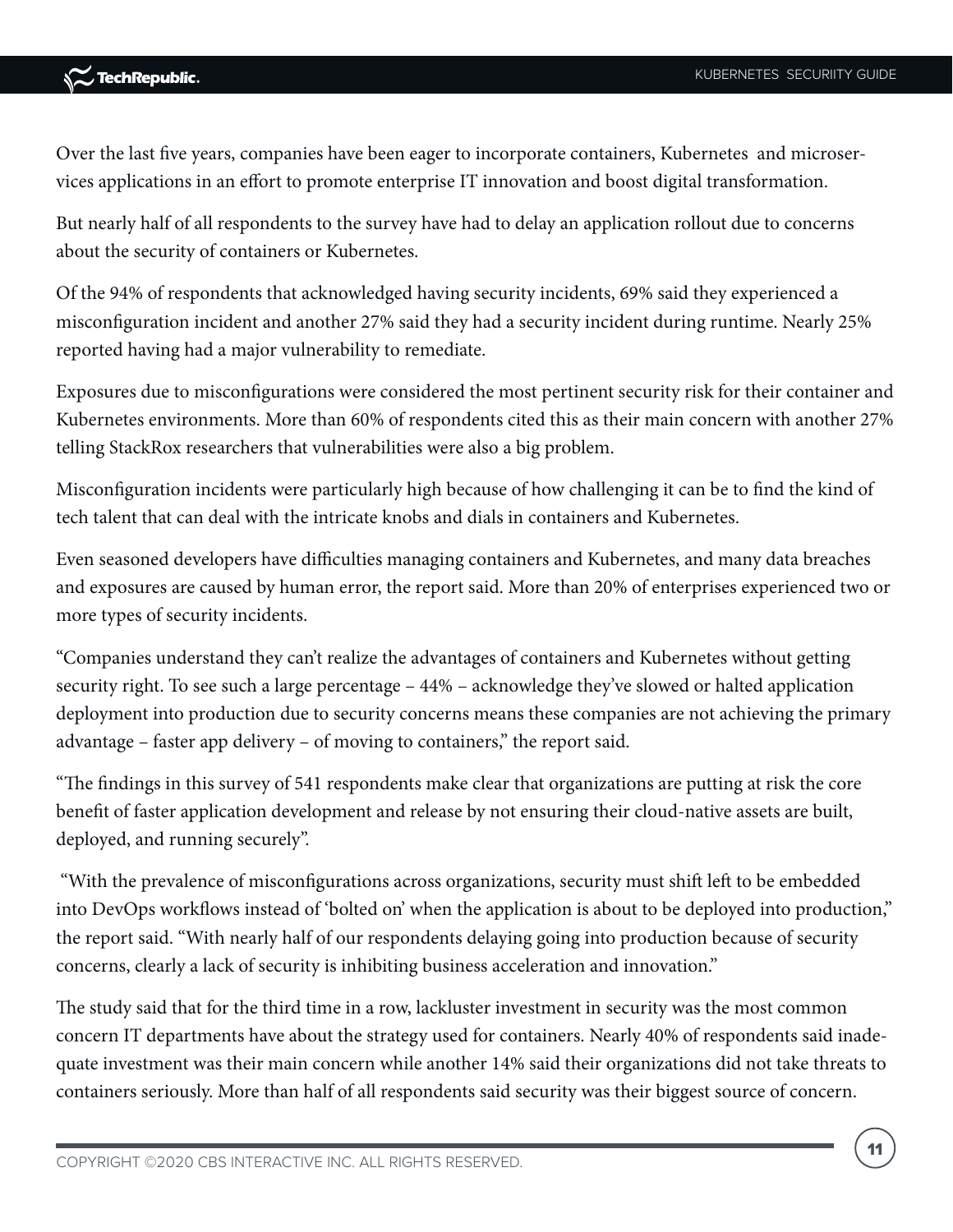Over the last five years, companies have been eager to incorporate containers, Kubernetes and microservices applications in an effort to promote enterprise IT innovation and boost digital transformation.

But nearly half of all respondents to the survey have had to delay an application rollout due to concerns about the security of containers or Kubernetes.

Of the 94% of respondents that acknowledged having security incidents, 69% said they experienced a misconfiguration incident and another 27% said they had a security incident during runtime. Nearly 25% reported having had a major vulnerability to remediate.

Exposures due to misconfigurations were considered the most pertinent security risk for their container and Kubernetes environments. More than 60% of respondents cited this as their main concern with another 27% telling StackRox researchers that vulnerabilities were also a big problem.

Misconfiguration incidents were particularly high because of how challenging it can be to find the kind of tech talent that can deal with the intricate knobs and dials in containers and Kubernetes.

Even seasoned developers have difficulties managing containers and Kubernetes, and many data breaches and exposures are caused by human error, the report said. More than 20% of enterprises experienced two or more types of security incidents.

"Companies understand they can't realize the advantages of containers and Kubernetes without getting security right. To see such a large percentage – 44% – acknowledge they've slowed or halted application deployment into production due to security concerns means these companies are not achieving the primary advantage – faster app delivery – of moving to containers," the report said.

"The findings in this survey of 541 respondents make clear that organizations are putting at risk the core benefit of faster application development and release by not ensuring their cloud-native assets are built, deployed, and running securely".

 "With the prevalence of misconfigurations across organizations, security must shift left to be embedded into DevOps workflows instead of 'bolted on' when the application is about to be deployed into production," the report said. "With nearly half of our respondents delaying going into production because of security concerns, clearly a lack of security is inhibiting business acceleration and innovation."

The study said that for the third time in a row, lackluster investment in security was the most common concern IT departments have about the strategy used for containers. Nearly 40% of respondents said inadequate investment was their main concern while another 14% said their organizations did not take threats to containers seriously. More than half of all respondents said security was their biggest source of concern.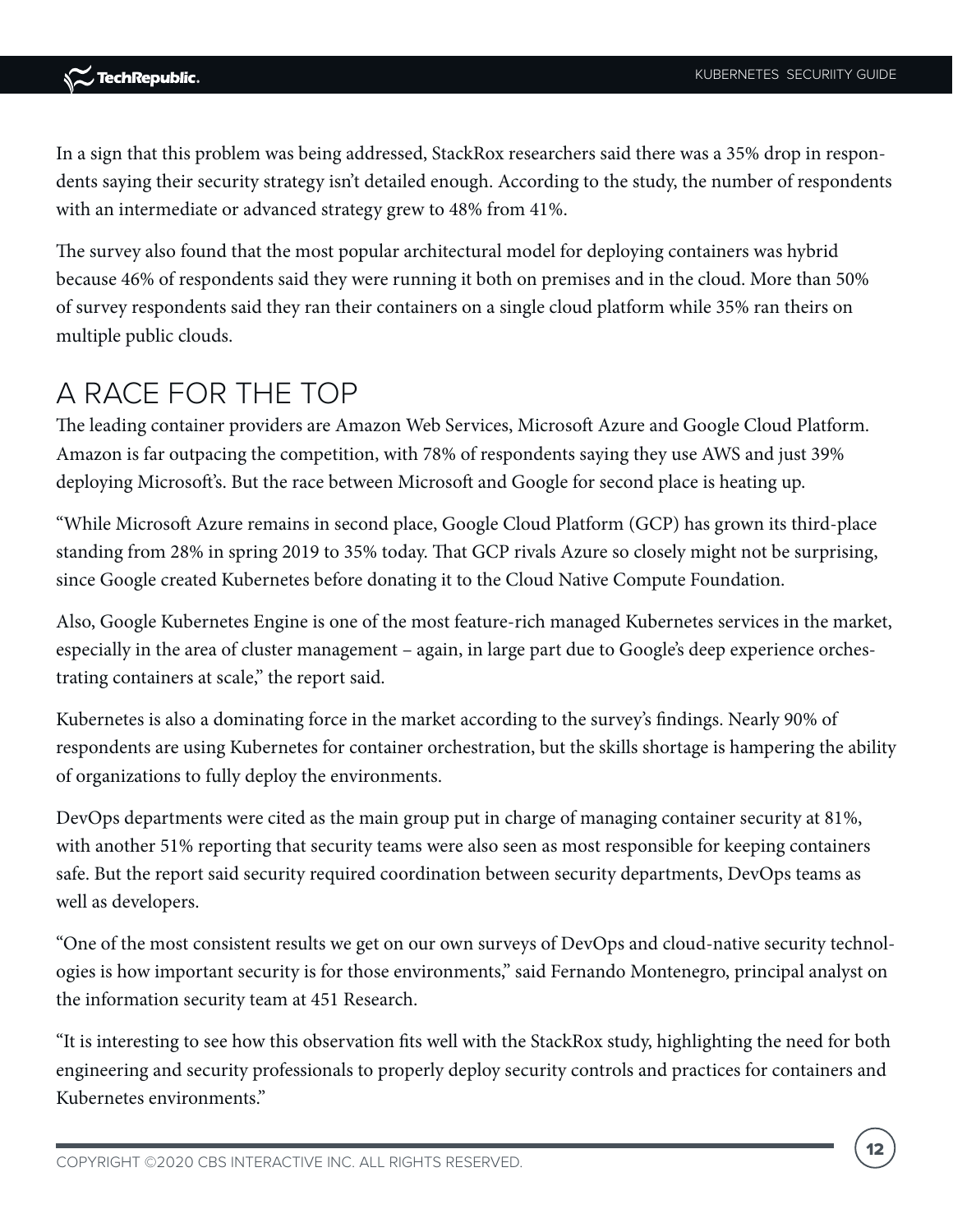In a sign that this problem was being addressed, StackRox researchers said there was a 35% drop in respondents saying their security strategy isn't detailed enough. According to the study, the number of respondents with an intermediate or advanced strategy grew to 48% from 41%.

The survey also found that the most popular architectural model for deploying containers was hybrid because 46% of respondents said they were running it both on premises and in the cloud. More than 50% of survey respondents said they ran their containers on a single cloud platform while 35% ran theirs on multiple public clouds.

### A RACE FOR THE TOP

The leading container providers are Amazon Web Services, Microsoft Azure and Google Cloud Platform. Amazon is far outpacing the competition, with 78% of respondents saying they use AWS and just 39% deploying Microsoft's. But the race between Microsoft and Google for second place is heating up.

"While Microsoft Azure remains in second place, Google Cloud Platform (GCP) has grown its third-place standing from 28% in spring 2019 to 35% today. That GCP rivals Azure so closely might not be surprising, since Google created Kubernetes before donating it to the Cloud Native Compute Foundation.

Also, Google Kubernetes Engine is one of the most feature-rich managed Kubernetes services in the market, especially in the area of cluster management – again, in large part due to Google's deep experience orchestrating containers at scale," the report said.

Kubernetes is also a dominating force in the market according to the survey's findings. Nearly 90% of respondents are using Kubernetes for container orchestration, but the skills shortage is hampering the ability of organizations to fully deploy the environments.

DevOps departments were cited as the main group put in charge of managing container security at 81%, with another 51% reporting that security teams were also seen as most responsible for keeping containers safe. But the report said security required coordination between security departments, DevOps teams as well as developers.

"One of the most consistent results we get on our own surveys of DevOps and cloud-native security technologies is how important security is for those environments," said Fernando Montenegro, principal analyst on the information security team at 451 Research.

"It is interesting to see how this observation fits well with the StackRox study, highlighting the need for both engineering and security professionals to properly deploy security controls and practices for containers and Kubernetes environments."